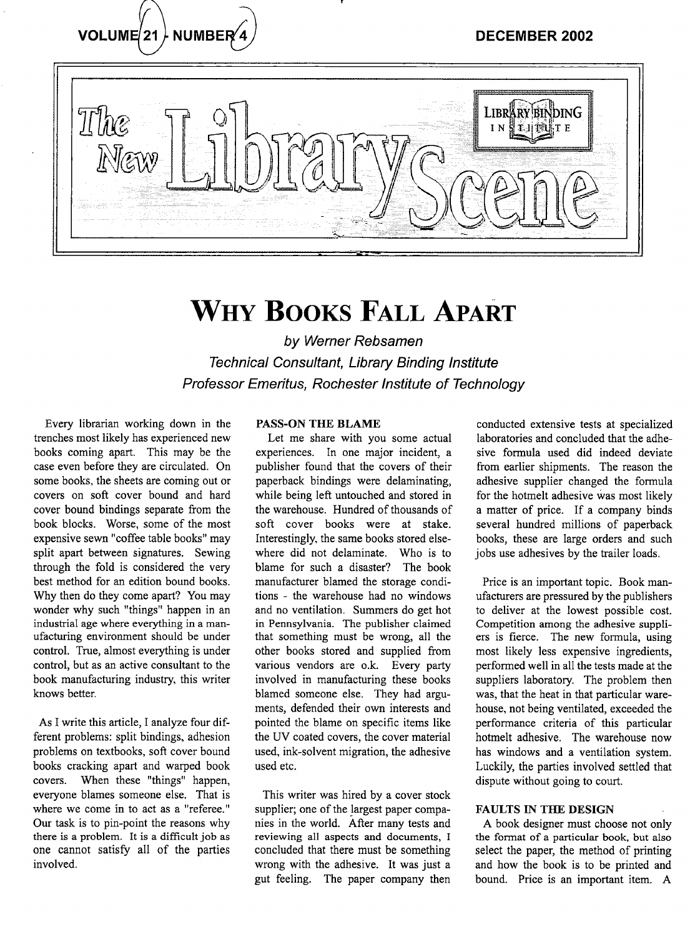

# WHY **BOOKS** FALL APART

by Werner Rebsamen Technical Consultant, Library Binding Institute Professor Emeritus, Rochester Institute of Technology

Every librarian working down in the trenches most likely has experienced new books coming apart. This may be the case even before they are circulated. On some books, the sheets are coming out or covers on soft cover bound and hard cover bound bindings separate from the book blocks. Worse, some of the most expensive sewn "coffee table books" may split apart between signatures. Sewing through the fold is considered the very best method for an edition bound books. Why then do they come apart? You may wonder why such "things" happen in an industrial age where everything in a manufacturing environment should be under control. True, almost everything is under control, but as an active consultant to the book manufacturing industry, this writer knows better.

As I write this article, I analyze four different problems: split bindings, adhesion problems on textbooks, soft cover bound books cracking apart and warped book covers. When these "things" happen, everyone blames someone else. That is where we come in to act as a "referee." Our task is to pin-point the reasons why there is a problem. It is a difficult job as one cannot satisfy all of the parties involved.

### PASS-ON THE BLAME

Let me share with you some actual experiences. In one major incident, a publisher found that the covers of their paperback bindings were delaminating, while being left untouched and stored in the warehouse. Hundred of thousands of soft cover books were at stake. Interestingly, the same books stored elsewhere did not delaminate. Who is to blame for such a disaster? The book manufacturer blamed the storage conditions - the warehouse had no windows and no ventilation. Summers do get hot in Pennsylvania. The publisher claimed that something must be wrong, all the other books stored and supplied from various vendors are o.k. Every party involved in manufacturing these books blamed someone else. They had arguments, defended their own interests and pointed the blame on specific items like the UV coated covers, the cover material used, ink-solvent migration, the adhesive used etc.

This writer was hired by a cover stock supplier; one of the largest paper companies in the world. After many tests and reviewing all aspects and documents, I concluded that there must be something wrong with the adhesive. It was just a gut feeling. The paper company then

conducted extensive tests at specialized laboratories and concluded that the adhesive formula used did indeed deviate from earlier shipments. The reason the adhesive supplier changed the formula for the hotmelt adhesive was most likely a matter of price. If a company binds several hundred millions of paperback books, these are large orders and such jobs use adhesives by the trailer loads.

Price is an important topic. Book manufacturers are pressured by the publishers to deliver at the lowest possible cost. Competition among the adhesive suppliers is fierce. The new formula, using most likely less expensive ingredients, performed well in all the tests made at the suppliers laboratory. The problem then was, that the heat in that particular warehouse, not being ventilated, exceeded the performance criteria of this particular hotmelt adhesive. The warehouse now has windows and a ventilation system. Luckily, the parties involved settled that dispute without going to court.

#### FAULTS IN THE DESIGN

A book designer must choose not only the format of a particular book, but also select the paper, the method of printing and how the book is to be printed and bound. Price is an important item. A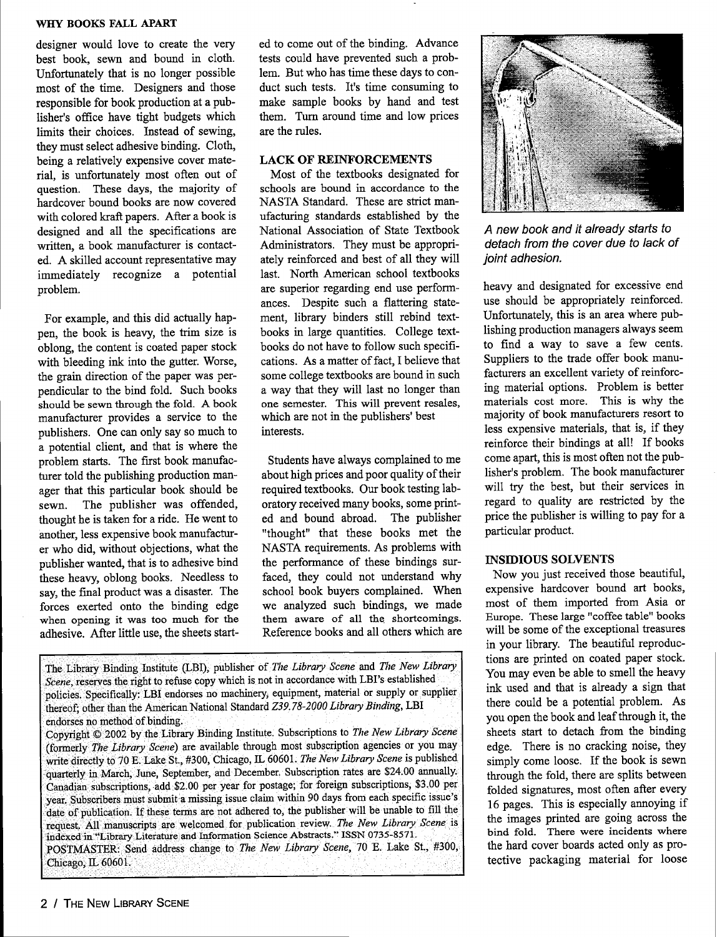#### **WHY BOOKS FALL APART**

designer would love to create the very best book, sewn and bound in cloth. Unfortunately that is no longer possible most of the time. Designers and those responsible for book production at a publisher's office have tight budgets which limits their choices. Instead of sewing, they must select adhesive binding. Cloth, being a relatively expensive cover material, is unfortunately most often out of question. These days, the majority of hardcover bound books are now covered with colored kraft papers. After a book is designed and all the specifications are written, a book manufacturer is contacted. A skilled account representative may immediately recognize a potential problem.

For example, and this did actually happen, the book is heavy, the trim size is oblong, the content is coated paper stock with bleeding ink into the gutter. Worse, the grain direction of the paper was perpendicular to the bind fold. Such books should be sewn through the fold. A book manufacturer provides a service to the publishers. One can only say so much to a potential client, and that is where the problem starts. The first book manufacturer told the publishing production manager that this particular book should be sewn. The publisher was offended, thought he is taken for a ride. He went to another, less expensive book manufacturer who did, without objections, what the publisher wanted, that is to adhesive bind these heavy, oblong books. Needless to say, the final product was a disaster. The forces exerted onto the binding edge when opening it was too much for the adhesive. After little use, the sheets start-

ed to come out of the binding. Advance tests could have prevented such a problem. But who has time these days to conduct such tests. It's time consuming to make sample books by hand and test them. Turn around time and low prices are the rules.

#### LACK OF REINFORCEMENTS

Most of the textbooks designated for schools are bound in accordance to the NASTA Standard. These are strict manufacturing standards established by the National Association of State Textbook Administrators. They must be appropriately reinforced and best of all they will last. North American school textbooks are superior regarding end use performances. Despite such a flattering statement, library binders still rebind textbooks in large quantities. College textbooks do not have to follow such specifications. As a matter of fact, I believe that some college textbooks are bound in such a way that they will last no longer than one semester. This will prevent resales, which are not in the publishers' best interests.

Students have always complained to me about high prices and poor quality of their required textbooks. Our book testing laboratory received many books, some printed and bound abroad. The publisher "thought" that these books met the NASTA requirements. As problems with the performance of these bindings surfaced, they could not understand why school book buyers complained. When we analyzed such bindings, we made them aware of all the shortcomings. Reference books and all others which are

The Library Binding Institute (LBI), publisher of *The Library Scene* and *The New Library* Scene, reserves the right to refuse copy which is not in accordance with LBI's established policies. Specifically: LBI endorses no machinery, equipment, naterial or supply or supplier .thereof; other than the AmericanNational Standard *Z39. 78-2000 Library Binding,* LBI endorses no method of binding.

Copyright  $\odot$  2002 by the Library Binding Institute. Subscriptions to *The New Library Scene* (formerly *The Library Scene*) are available through most subscription agencies or you may write directly to 70 E. Lake St., #300, Chicago, IL 60601. *The New Library Scene* is published quarterly in March, June, September, and December. Subscription rates are \$24.00 annually. Canadian subscrptions, add-\$2.00 per year for postage; for foreign subscriptions, \$3.00 per year. Subscribers must submit a missing issue claim within 90 days from each specific issue's date of publication. If these terns are not adhered to, the publisher will be unable to fill the request. All manuscripts are welcomed for publication review. The New Library Scene is indexed in "Library Literature and Information Science Abstracts." ISSN 0735-8571. POSTMASTER: Send address change to *The New Library Scene,* 70 *E.* Lake St., #300,Chicago, IL 60601.



A new book and it already starts to detach from the cover due to lack of joint adhesion.

heavy and designated for excessive end use should be appropriately reinforced. Unfortunately, this is an area where publishing production managers always seem to find a way to save a few cents. Suppliers to the trade offer book manufacturers an excellent variety of reinforcing material options. Problem is better materials cost more. This is why the majority of book manufacturers resort to less expensive materials, that is, if they reinforce their bindings at all! If books come apart, this is most often not the publisher's problem. The book manufacturer will try the best, but their services in regard to quality are restricted by the price the publisher is willing to pay for a particular product.

#### INSIDIOUS SOLVENTS

Now you just received those beautiful, expensive hardcover bound art books, most of them imported from Asia or Europe. These large "coffee table" books will be some of the exceptional treasures in your library. The beautiful reproductions are printed on coated paper stock. You may even be able to smell the heavy ink used and that is already a sign that there could be a potential problem. As you open the book and leaf through it, the sheets start to detach from the binding edge. There is no cracking noise, they simply come loose. If the book is sewn through the fold, there are splits between folded signatures, most often after every 16 pages. This is especially annoying if the images printed are going across the bind fold. There were incidents where the hard cover boards acted only as protective packaging material for loose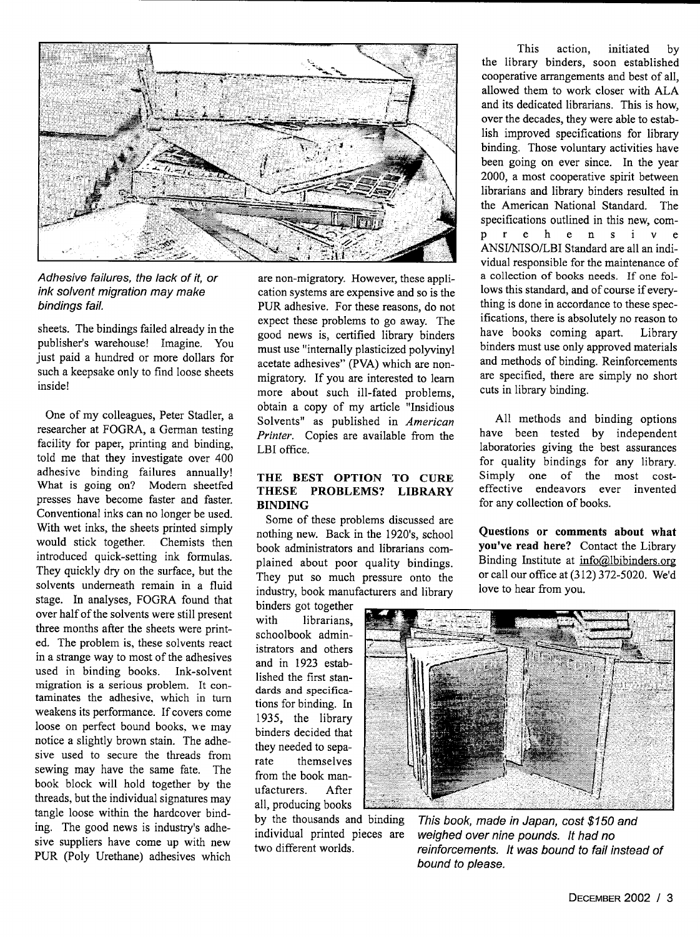

Adhesive failures, the lack of it, or ink solvent migration may make bindings fail.

sheets. The bindings failed already in the publisher's warehouse! Imagine. You just paid a hundred or more dollars for such a keepsake only to find loose sheets inside!

One of my colleagues, Peter Stadler, a researcher at FOGRA, a German testing facility for paper, printing and binding. told me that they investigate over 400 adhesive binding failures annually! What is going on? Modem sheetfed presses have become faster and faster. Conventional inks can no longer be used. With wet inks, the sheets printed simply would stick together. Chemists then introduced quick-setting ink formulas. They quickly dry on the surface, but the solvents underneath remain in a fluid stage. In analyses, FOGRA found that over half of the solvents were still present three months after the sheets were printed. The problem is, these solvents react in a strange way to most of the adhesives used in binding books. Ink-solvent migration is a serious problem. It contaminates the adhesive, which in turn weakens its performance. If covers come loose on perfect bound books, we may notice a slightly brown stain. The adhesive used to secure the threads from sewing may have the same fate. The book block will hold together by the threads, but the individual signatures may tangle loose within the hardcover binding. The good news is industry's adhesive suppliers have come up with new PUR (Poly Urethane) adhesives which

are non-migratory. However, these application systems are expensive and so is the PUR adhesive. For these reasons, do not expect these problems to go away. The good news is, certified library binders must use "internally plasticized polyvinyl acetate adhesives" (PVA) which are nonmigratory. If you are interested to learn more about such ill-fated problems, obtain a copy of my article "Insidious Solvents" as published in *American Printer.* Copies are available from the LBI office.

## **THE BEST OPTION TO CURE THESE PROBLEMS? LIBRARY BINDING**

Some of these problems discussed are nothing new. Back in the 1920's, school book administrators and librarians complained about poor quality bindings. They put so much pressure onto the industry, book manufacturers and library

binders got together with librarians. schoolbook administrators and others and in 1923 established the first standards and **specifica**tions for binding. In 1935, the library binders decided that they needed to separate themselves from the book manufacturers. After all, producing books

by the thousands and binding individual printed pieces are two different worlds.

This action, initiated by the library binders, soon established cooperative arrangements and best of all, allowed them to work closer with ALA and its dedicated librarians. This is how, over the decades, they were able to establish improved specifications for library binding. Those voluntary activities have been going on ever since. In the year 2000, a most cooperative spirit between librarians and library binders resulted in the American National Standard. The specifications outlined in this new, comp r e h e n s i v e ANSI/NISO/LBI Standard are all an individual responsible for the maintenance of a collection of books needs. If one follows this standard, and of course if everything is done in accordance to these specifications, there is absolutely no reason to have books coming apart. Library binders must use only approved materials and methods of binding. Reinforcements are specified, there are simply no short cuts in library binding.

All methods and binding options have been tested by independent laboratories giving the best assurances for quality bindings for any library. Simply one of the most costeffective endeavors ever invented for any collection of books.

**Questions or comments about what you've read here? Contact** the Library Binding Institute at  $info@lbibinders.org$ or call our office at (312) 372-5020. We'd love to hear from you.



bound to please. This book, made in Japan, cost \$150 and *weighed over nine pounds. It had no* reinforcements. It was bound to fail instead of